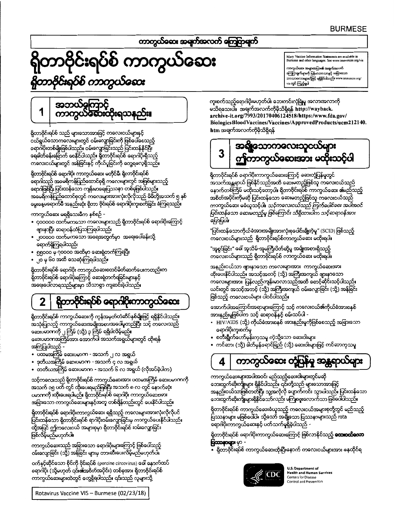# ကာကွယ်ထေး အရက်အလက် ကြေငြာရက်

# တာဗိုင်းရပ်စ် ကာကွယ်ဆေး ကာဗိုင်းရဝ်စ် ကာကွယ်လေး

Many Vaccine Information Statements are available in<br>Burmese and other languages. See www.immunize.org/vis

ကာကွယ်ဆေး အများအပြား၏ အရက်အလက်<br>ကြေငြာရက်များကို မြန်မာဘာသာနှင့် အရြားသော .<br>တားများတို့ဖြင့် ရရှိနိုင်ပါသည်။ www.immunize.org/ <sub>vis</sub> တွင် ကြည့်ရပါ

#### အဘယ်မှကြာင့် ကာကွယ်ဆေးထိုးရသန 1

ရှိတာဗိုင်းရပ်စ် သည် များသောအားဖြင့် ကလေးငယ်များနှင့် ငယ်ရွယ်သောကလေးများတွင် ဝမ်းလျှောခြင်းကို ဖြစ်ပေါ်စေသည့် ရောဂါပိုးတစ်မျိုးဖြစ်ပါသည်။ ဝမ်းလျောခြင်းသည် ပြင်းထန်နိုင်ပြီး ရေခါတ်ခန်းခြောက် စေနိုင်ပါသည်။ ရှိတာဗိုင်းရပ်စ် ရောဂါပိုးရှိသည့် ကလေးငယ်များတွင် အန်ခြင်းနှင့် ကိုယ်ပူခြင်းကို တွေ့ရလေ့ရှိသည်။

ရှိတာဗိုင်းရပ်စ် ရောဂါပိုး ကာကွယ်ဆေး မတိုင်မီ၊ ရှိတာဗိုင်းရပ်စ် ရောဂါသည် အမေရိကန်ပြည်ထောင်စုရှိ ကလေးများတွင် အဖြစ်များသည့် ရောဂါဖြစ်ပြီး ပြင်းထန်သော ကျန်းမာရေးပြဿနာ တစ်ခုဖြစ်ပါသည်။ အမေရိကန်ပြည်ထောင်စုတွင် ကလေးများအားလုံးလိုလိုသည် မိမိတို့အသက် ၅ နစ် မွေးနေ့မရောက်မီ အနည်းဆုံး ရှိတာ ဗိုင်းရပ်စ် ရောဂါပိုးကူးစက်ခြင်း ခံကြရသည်။

ကာကွယ်ဆေး မရရှိသေးမီက နှစ်စဉ် -

- ၄၀၀၀၀၀ ထက်မကသော ကလေးများသည် ရှိတာဝိုင်းရပ်စ် ရောဂါပိုးကြောင့် **ရားနာပြီး** ဆရာဝန်ထံပြသကြရပါသည်၊
- ၂၀၀၀၀၀ ထက်မကသော အရေအတွက်မှာ အရေးပေါ်ခန်းသို့ ရောက်ရှိကြရပါသည်၊
- ၅၅၀၀၀ မှ ဂုဝဝ၀၀ အထိမှာ ဆေးရုံတက်ကြရပြီး
- ၂၀ မှ ၆၀ အထိ သေဆုံးကြရပါသည်။

ရှိတာဗိုင်းရပ်စ် ရောဂါပိုး ကာကွယ်ဆေးစတင်မိတ်ဆက်ပေးကတည်းက ရှိတာဗိုင်းရပ်စ် ရောဂါပိုးကြောင့် ဆေးရုံတက်ရခြင်းများနှင့် အရေးပေါ်လာရသည်များမှာ သိသာစွာ ကျဆင်းခဲ့ပါသည်။

#### ရှိတာဗိုင်းရပ်စ် ရောဂါပိုးကာကွယ်လေး  $\mathbf 2$

ရှိတာဗိုင်းရပ်စ် ကာကွယ်ဆေးကို ကုန်အမှတ်တံဆိပ်နှစ်မျိုးဖြင့် ရရှိနိုင်ပါသည်။ အသုံးပြုသည့် ကာကွယ်ဆေးအမျိုးအစားအပေါ်မူတည်ပြီး သင့် ကလေးသည် ဆေးပမာဏကို ၂ ကြိမ် (သို့) ၃ ကြိမ် ရရှိပါလိမ့်မည်။ ဆေးပမာကအကြိမ်အား အောက်ပါ အသက်အရွယ်များတွင် ထိုးရန် အကြံပြုပါသည် -

- ပထမအကြိမ် ဆေးပမာက အသက် ၂ လ အရွယ်
- ဒုတိယအကြိမ် ဆေးပမာက အသက် ၄ လ အရွယ်
- တတိယအကြိမ် ဆေးပမာက အသက် ၆ လ အရွယ် (လိုအပ်ခဲ့ပါက)

သင့်ကလေးသည် ရှိတာဗိုင်းရပ်စ် ကာကွယ်ဆေးအား ပထမအကြိမ် ဆေးပမာဏကို အသက် ၁၅ ပတ် တွင် ထိုးပေးရမည်ဖြစ်ပြီး အသက် ၈ လ တွင် နောက်ဆုံး ပမာဏကို းထိုးပေးရပါမည်။ ရှိတာဝိုင်းရပ်စ် ရောဂါပိုး ကာကွယ်ဆေးအား အခြားသော ကာကွယ်ဆေးများနှင့်အတူ တစ်ရှိန်တည်းတွင် ပေးနိုင်ပါသည်။

ရှိတာဗိုင်းရပ်စ် ရောဂါပိုးကာကွယ်ဆေး ရရှိသည့် ကလေးများအားလုံးလိုလိုပင် ပြင်းထန်သော ရှိတာဝိုင်းရပ်စ် ရာဂါပိုးဝမ်းလျှောခြင်းမှ ကာကွယ်ပေးနိုင်ပါသည်။ ထို့အပြင် ဤကလေးငယ် အများစုမှာ ရှိတာဝိုင်းရပ်စ် းဝမ်းလျောခြင်း ဖြစ်လိမ့်မည်မဟုတ်ပါ။

ကာကွယ်ဆေးသည် အခြားသော ရောဂါပိုးများကြောင့် ဖြစ်ပေါ်သည့် ဝမ်းလျောခြင်း (သို့) အန်ခြင်း များမှ တားဆီးပေးလိမ့်မည်မဟုတ်ပါ။

ဝက်နှင့်ဆိုင်သော စိုင်ကို ဗိုင်းရပ်စ် (porcine circovirus) ခေါ် နောက်ထပ် ရောဂါပိုး (သို့မဟုတ် ၎င်း၏အစိတ်အပိုင်း) တစ်ခုအား ရှိတာဝိုင်းရပ်စ် ကာကွယ်ဆေးများထဲတွင် တွေ့ရှိရပါသည်။ ၎င်းသည် လူများသို့

ကူးစက်သည့်ရောဂါပိုးမဟုတ်ပါ၊ ဘေးကင်းလုံခြံမှု အလားအလာကို မသိရသေးပါ။ အချက်အလက်ကိုမိုသိရှိရန် http://wayback. archive-it.org/7993/20170406124518/https:/www.fda.gov/ BiologicsBloodVaccines/Vaccines/ApprovedProducts/ucm212140. htm အချက်အလက်ကိုမိုသိရှိရန်

# အရန္ယေသာကလေးသူငယ္ငံများ 3 ကာကွယ်စေားအား မထိးသင့်ပါ

ရှိတာဗိုင်းရပ်စ် ရောဂါပိုးကာကွယ်ဆေးကြောင့် ဆေးတုံပြန်မှုတွင် အသက်အန္တရာယ် ဖြစ်နိုင်သည်အထိ ဆေးမတည့်ဖြစ်သူ ကလေးငယ်သည် နောက်တစ်ကြိမ် မထိုးသင့်တော့ပါ။ ရှိတာဗိုင်းရပ်စ် ကာကွယ်ဆေး ၏မည်သည့် အစိတ်အဝိုင်းကိုမဆို ပြင်းထန်သော ဆေးမတည့်ဖြစ်သူ ကလေးငယ်သည် ကာကွယ်ဆေး မခံယူသင့်ပါ။ *သင့်ကလေးငယ်သည် ကြက်ပေါင်စေး အပါအဝင်* ပြင်းထန်သော ဆေးမတည့်မှ ဖြစ်ကြောင်း သိရှိထားပါက သင့်ဆရာဝန်အား ပြောပြပါ။

"ပြင်းထန်သောကိုယ်ခံအားအမျိုးအားလုံးစုပေါင်းချို့တဲ့မူ" (SCID) ဖြစ်သည့် ကလေးငယ်များသည် ရှိတာဗိုင်းရပ်စ်ကာကွယ်ဆေး မထိုးရပါ။

"အူစွပ်ခြင်း" ခေါ် အူသိမ်-အူမကြီးပိတ်ဆို့မူ အမျိုးအစားရှိသည့် ကလေးငယ်များသည် ရှိတာဗိုင်းရပ်စ် ကာကွယ်ဆေး မထိုးရပါ။

အနည်းငယ်သာ ဖျားနာသော ကလေးများအား - ကာကွယ်ဆေးအား-ထိုးပေးနိုင်ပါသည်။ အသင့်အတင့် (သို့) အကြီးအကျယ် ဗျားနာသော ကလေးများအား ပြန်လည်ကျန်းမာလာသည်အထိ စောင့်ဆိုင်းသင့်ပါသည်။ ယင်းတွင် အသင့်အတင့် (သို့) အကြီးအကျယ် ဝမ်းလျှောခြင်း (သို့) အန်ခြင်း ဖြစ်သည့် ကလေးငယ်များ ပါဝင်ပါသည်။

အောက်ပါအကြောင်းအရာများကြောင့် သင့် ကလေးငယ်၏ကိုယ်ခံအားစနစ် အားနည်းမှုဖြစ်ပါက သင့် ဆရာဝန်နှင့် စမ်းသပ်ပါ -

- HIV/AIDS (သို့) ကိုယ်ခံအားစနစ် အားနည်းမှုကိုဖြစ်စေသည့် အခြားသော ကေဂါပိုးကူးစက်မှု
- စတီးရွိုက်ဟော်မှန်းကုသမှု ကဲ့သို့သော ဆေးဝါးများ
- ကင်ဆာ၊ (သို့) ဓါတ်မှန်ရောင်ခြည် (သို့) ဆေးဝါးများဖြင့် ကင်ဆာကုသမှု

#### ကာကွယ်လေး တုံ့ပြန်မှု အန္တရာယ်များ 4

ကာကွယ်ဆေးများအပါအဝင်၊ မည်သည့်ဆေးဝါးများတွင်မဆို ဘေးထွက်ဆိုးကျိုးများ ရှိနိုင်ပါသည်။ ၎င်းတို့သည် များသောအားဖြင့် အနည်းငယ်သာဖြစ်တတ်ပြီး သူ့အလိုလို ပျောက်ကင်း သွားပါသည်။ ပြင်းထန်သော ဘေးထွက်ဆိုးကျိုးများရှိနိုင်သော်လည်း မကြုံစဖူးလောက်သာ ဖြစ်ပေါ်ပါသည်။

ရှိတာဗိုင်းရပ်စ် ကာကွယ်ဆေးခံယူသည့် ကလေးငယ်အများစုတို့တွင် မည်သည့် ပြဿနာများ မဖြစ်ပေါ်ပါ။ သို့သော် အချို့သော ပြဿနာများသည် rota \_<br>ရောဂါပိုးကာကွယ်ဆေးနှင့် ပတ်သက်မူရှိခဲ့ပါသည် –

ရှိတာဗိုင်းရပ်စ် ရောဂါပိုးကာကွယ်ဆေးကြောင့် ဖြစ်လာနိုင်သည့် **သေးဝသ်သော ပြဿနာများ** မှာ -

• ရှိတာဝိုင်းရပ်စ် ကာကွယ်ဆေးထိုးပြီးနောက် ကလေးငယ်များအား နေထိုင်ရ



**U.S. Department of Health and Human Services** Centers for Disease Control and Prevention

Rotavirus Vaccine VIS - Burmese (02/23/18)